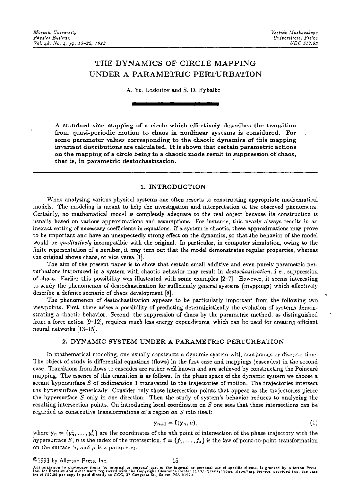# THE DYNAMICS OF CIRCLE MAPPING UNDER A PARAMETRIC PERTURBATION

A. Yu. Loskutov and S. D. Rybalko

A standard sine mapping of a circle which effectively describes the transition from quasi-periodic motion to chaos in nonlinear systems is considered. For some parameter values corresponding to the chaotic dynamics of this mapping invariant distributions are calculated. It is shown that certain parametric actions on the mapping of a circle being in a chaotic mode result in suppression of chaos, that is, in parametric destochastization.

## 1. INTRODUCTION

'Vhen analyzing various physical systems one often resorts to constructing appropriate mathematical models. The modeling is meant to help the investigation and interpretation of the observed phenomena. Certainly, no mathematical model is completely adequate to the real object because its construction is usually based on various approximations and assumptions. For instance, this nearly always results in an inexact setting of necessary coefficients in equations. If a system is chaotic, these approximations may prove to be important and have an unexpectedly strong effect on the dynamics, so that the behavior of the model would be *qualitatively* incompatible with the original. In particular, in computer simulation, owing to the finite representation of a number, it may turn out that the model demonstrates regular properties, whereas the original shows chaos, or vice versa [1].

The aim of the present paper is to show that certain small additive and even purely parametric perturbations introduced in a system with chaotic behavior may result in *destochastization,* i.e., suppression of chaos. Earlier this possibility was illustrated with some examples [2-7]. However, it seems interesting to study the phenomenon of destochastization for sufficiently general systems (mappings) which effectively describe a definite scenario of chaos development [8].

The phenomenon of destochastization appears to be particularly important from the following two yiewpoints. First, there arises a possibility of predicting deterministically the evolution of systems demonstrating a chaotic behavior. Second, the suppression of chaos by the parametric method, as distinguished from a force action [9-12], requires much less energy expenditures, which can be used for creating efficient neural networks [13-15].

# 2. DYNAMIC SYSTEM UNDER A PARAMETRlC PERTURBATION

In mathematical modeling, one usually constructs a dynamic system with continuous or discrete time. The object of study is differential equations (flows) in the first case and mappings (cascades) in the second case. Transitions from flows to cascades are rather well known and are achieved by constructing the Poincaré mapping. The essence of this transition is as follows. Jn the phase space of the dynamic system we choose a secant hypersurface *S* of codimension 1 transversal to the trajectories of motion. The trajectories intersect the hypersurface generically. Consider only those intersection points that appear as the trajectories pierce the hypersurface *S* only in One direction. Then the study of system's behavior reduces to analyzing the resulting intersection points. On introducing local coordinates on *S* one sees that these intersections can be regarded as consecutive transformations of a region on *S* into itself:

$$
n+1 = \mathbf{f}(\mathbf{y}_n, \mu), \tag{1}
$$

where  $y_n = {y_n^1, \ldots, y_n^k}$  are the coordinates of the nth point of intersection of the phase trajectory with the hypersurface S, *n* is the index of the intersection,  $f = \{f_1, \ldots, f_k\}$  is the law of point-to-point transformation on the surface  $S$ , and  $\mu$  is a parameter.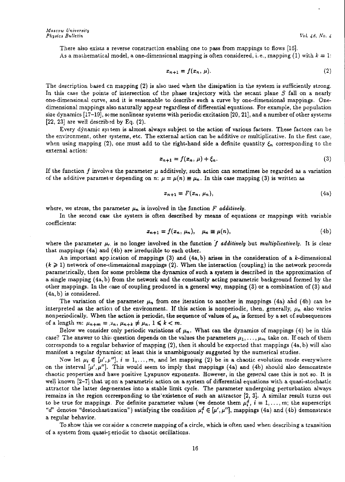There also exists a reverse construction enabling one to pass from mappings to flows  $[16]$ . As a mathematical model, a one-dimensional mapping is often considered, i.e., mapping (1) with  $k = 1$ :

$$
x_{n+1} = f(x_n, \mu). \tag{2}
$$

The description based en mapping (2) is also used when the dissipation in the system is sufficiently strong. In this case the points of intersection of the phase trajectory with the secant plane *S* fall on a nearly one-dimensional curve, and it is reasonable to describe such a curve by one-dimensional mappings. Onedimensional mappings also naturally appear regardless of differential equations. For example, the population size dynamics  $[17-19]$ , some nonlinear systems with periodic excitation  $[20, 21]$ , and a number of other systems [22, 23] are well described by Eq.  $(2)$ .

Every dynamic system is almost always subject to the action of various factors. These factors can be the environment, other systems, etc. The external action can be additive or multiplicative. In the first case, when using mapping (2), one must add to the right-hand side a definite quantity  $\xi_n$  corresponding to the external action:

$$
x_{n+1} = f(x_n, \mu) + \xi_n. \tag{3}
$$

If the function f involves the parameter  $\mu$  additively, such action can sometimes be regarded as a variation of the additive parameter depending on n:  $\mu = \mu(n) \equiv \mu_n$ . In this case mapping (3) is written as

$$
x_{n+1} = F(x_n, \mu_n), \tag{4a}
$$

where, we stress, the parameter  $\mu_n$  is involved in the function  $F$  *additively*.

In the second case the system is often described by means of equations or mappings with variable coefficients:

$$
x_{n+1} = f(x_n, \mu_n), \quad \mu_n \equiv \mu(n), \tag{4b}
$$

where the parameter  $\mu_r$  is no longer involved in the function f *additively* but *multiplicatively*. It is clear that mappings (4a) and (4b) are irreducible to each other.

An important app.ication of mappings  $(3)$  and  $(4a, b)$  arises in the consideration of a k-dimensional  $(k \geq 1)$  network of one-dimensional mappings (2). When the interaction (coupling) in the network proceeds parametrically, then for some problems the dynamics of such a system is described in the approximation of a single mapping ( 4a, b) from the network and the constantly acting parametric background formed by the other mappings. In the case of coupling produced in a general way, mapping  $(3)$  or a combination of  $(3)$  and  $(4a, b)$  is considered.

The variation of the parameter  $\mu_n$  from one iteration to another in mappings (4a) and (4b) can be interpreted as the action of the environment. If this action is nonperiodic, then, generally,  $\mu_n$  also varies non periodically. When the action is periodic, the sequence of values of  $\mu_n$  is formed by a set of subsequences of a length m:  $\mu_{n+m} = \mu_n, \, \mu_{n+k} \neq \mu_n, \, 1 \leq k \leq m$ .

Below we consider only periodic variations of  $\mu_n$ . What can the dynamics of mappings (4) be in this case? The answer to this question depends on the values the parameters  $\mu_1, \ldots, \mu_m$  take on. If each of them corresponds to a regular behavior of mapping (2), then it should be expected that mappings ( 4a, b) will also manifest a regular dynamics; at least this is unambiguously suggested by the numerical studies.

Now let  $\mu_i \in [\mu', \mu'']$ ,  $i = 1, ..., m$ , and let mapping (2) be in a chaotic evolution mode everywhere on the interval  $[\mu', \mu'']$ . This would seem to imply that mappings (4a) and (4b) should also demonstrate chaotic properties and have positive Lyapunov exponents. However, in the general case this is not so. It is well known [2-7] that up on a parametric action on a system of differential equations with a quasi-stochastic attractor the latter degenerates into a stable limit cycle. The parameter undergoing perturbation always remains in the region corresponding to the·existence of such an attractor [2, 3]. A similar result turns out to be true for mappings. For definite parameter values (we denote them  $\mu_i^d$ ,  $i = 1, \ldots, m$ ; the superscript "d" denotes "destochastization") satisfying the condition  $\mu_i^d \in [\mu', \mu'']$ , mappings (4a) and (4b) demonstrate a regular behavior.

To show this we consider a concrete mapping of a circle, which is often used when describing a transition of a system from quasi-periodic to chaotic oscillations.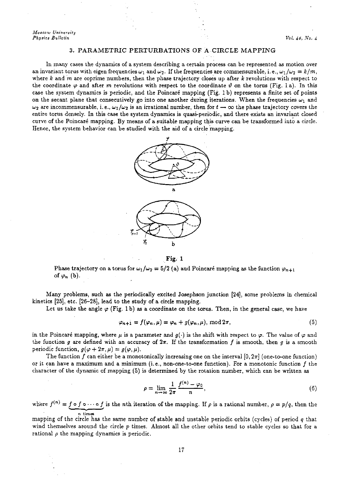*Moscow University Physics Bulletin Vol. 48, No. 4 Vol. 48, No. 4* 

### 3. PARAMETRJC PERTURBATIONS OF A CIRCLE MAPPING

In many cases the dynamics of a system describing a certain process can be represented as motion over an invariant torus with eigen frequencies  $\omega_1$  and  $\omega_2$ . If the frequencies are commensurable, i.e.,  $\omega_1/\omega_2 = k/m$ , where *k* and m are coprime numbers, then the phase trajectory closes up after *k* revolutions with respect to the coordinate  $\varphi$  and after m revolutions with respect to the coordinate  $\vartheta$  on the torus (Fig. 1 a). In this case the system dynamics is periodic, and the Poincare mapping (Fig. 1 b) represents a finite set of points on the secant plane that consecutively go into one another during iterations. When the frequencies  $\omega_1$  and  $\omega_2$  are incommensurable, i.e.,  $\omega_1/\omega_2$  is an irrational number, then for  $t \to \infty$  the phase trajectory covers the entire torus densely. In this case the system dynamics is quasi-periodic, and there exists an invariant closed curve of the Poincaré mapping. By means of a suitable mapping this curve can be transformed into a circle. Hence, the system behavior can be studied with the aid of a circle mapping.



Fig. 1

Phase trajectory on a torus for  $\omega_1/\omega_2 = 5/2$  (a) and Poincaré mapping as the function  $\varphi_{n+1}$ of  $\varphi_n$  (b).

Many problems, such as the periodically excited Josephson junction [24], some problems in chemical kinetics (25], etc. (26-28], lead to the study of a circle mapping.

Let us take the angle  $\varphi$  (Fig. 1b) as a coordinate on the torus. Then, in the general case, we have

$$
\varphi_{n+1} = f(\varphi_n, \mu) = \varphi_n + g(\varphi_n, \mu), \text{ mod } 2\pi,
$$
\n(5)

in the Poincare mapping, where  $\mu$  is a parameter and  $g(\cdot)$  is the shift with respect to  $\varphi$ . The value of  $\varphi$  and the function g are defined with an accuracy of  $2\pi$ . If the transformation f is smooth, then g is a smooth periodic function,  $g(\varphi + 2\pi, \mu) = g(\varphi, \mu)$ .

The function f can either be a monotonically increasing one on the interval  $[0, 2\pi]$  (one-to-one function) or it can have a maximum and a minimum (i.e., non-one-to-one function). For a monotonic function  $f$  the charaCter of the dynamic of mapping (5) is determined by the rotation number, which can be written *as* 

$$
\rho = \lim_{n \to \infty} \frac{1}{2\pi} \frac{f^{(n)} - \varphi_0}{n},\tag{6}
$$

where  $f^{(n)} = f \circ f \circ \cdots \circ f$  is the *n*th iteration of the mapping. If  $\rho$  is a rational number,  $\rho = p/q$ , then the n times

mapping of the circle has the same number of stable and unstable periodic orbits (cycles) of period *q* that wind themselves around the circle  $p$  times. Almost all the other orbits tend to stable cycles so that for a rational  $\rho$  the mapping dynamics is periodic.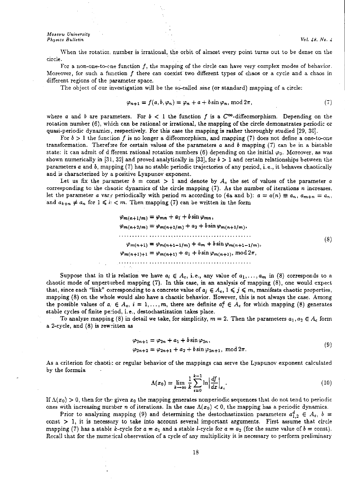#### *Moscow University Physf.cs Bulletin Vol. 4.8, No. 4*

When the rotatior: number is irrational, the orbit of almost every point turns out to be dense on the circle.

For a non-one-to-cne function  $f$ , the mapping of the circle can have very complex modes of behavior. Moreover, for such a function  $f$  there can coexist two different types of chaos or a cycle and a chaos in different regions of the parameter space.

The object of our investigation will be the so-called *sine* (or standard) mapping of a circle:

$$
\varphi_{n+1} = f(a, b, \varphi_n) = \varphi_n + a + b \sin \varphi_n, \bmod 2\pi,
$$
\n<sup>(7)</sup>

where *a* and *b* are parameters. For  $b < 1$  the function f is a  $C^{\infty}$ -diffeomorphism. Depending on the rotation number (6), which can be rational or irrational, the mapping of the circle demonstrates periodic or quasi-periodic dynamics, respectively. For this case the mapping is rather thoroughly studied [29, 30].

For  $b > 1$  the function f is no longer a diffeomorphism, and mapping (7) does not define a one-to-one transformation. Therefore for certain values of the parameters *a* and *b* mapping (7) can be in a bistable state: it can admit of d\_fferent rational rotation numbers (6) depending on the initial  $\varphi_0$ . Moreover, as was shown numerically in [3 l, 32] and proved analytically in [33], for *b* > 1 and certain relationships between the parameters *a* and b, mapping (7) has no stable periodic trajectories of any period, i.e., it behaves chaotically and is characterized by a positive Lyapunov exponent.

Let us fix the parameter  $b = \text{const} > 1$  and denote by  $A_c$  the set of values of the parameter *a* corresponding to the chaotic dynamics of the circle mapping  $(7)$ . As the number of iterations *n* increases, let the parameter *a* vary periodically with period *m* according to (4a and b):  $a = a(n) \equiv a_n$ ,  $a_{m+n} = a_n$ , and  $a_{k+n} \neq a_n$  for  $1 \leq k < m$ . Then mapping (7) can be written in the form

$$
\varphi_{m(n+1/m)} = \varphi_{mn} + a_1 + b \sin \varphi_{mn},
$$
  
\n
$$
\varphi_{m(n+2/m)} = \varphi_{m(n+1/m)} + a_2 + b \sin \varphi_{m(n+1/m)},
$$
  
\n
$$
\dots
$$
  
\n
$$
\varphi_{m(n+1)} = \varphi_{m(n+1-1/m)} + a_m + b \sin \varphi_{m(n+1-1/m)},
$$
  
\n
$$
\varphi_{m(n+1)+1} = \varphi_{m(n+1)} + a_1 + b \sin \varphi_{m(n+1)}, \text{ mod } 2\pi,
$$
  
\n(8)

Suppose that in this relation we have  $a_i \in A_c$ , i.e., any value of  $a_1, \ldots, a_m$  in (8) corresponds to a chaotic mode of unperturbed mapping (7). In this case, in an analysis of mapping (8), one would expect that, since each "link" corresponding to a concrete value of  $a_j \in A_c$ ,  $1 \le j \le m$ , manifests chaotic properties, mapping (8) on the whole would also have a chaotic behavior. However, this is not always the case. Among the possible values of  $a_i \in A_c$ ,  $i = 1, \ldots, m$ , there are definite  $a_i^d \in A_c$  for which mapping (8) generates stable cycles of finite period, i.e., destochastization takes place.

To analyze mapping (8) in detail we take, for simplicity,  $m = 2$ . Then the parameters  $a_1, a_2 \in A_c$  form a 2-cycle, and (8) is rew,itten as

$$
\varphi_{2n+1} = \varphi_{2n} + a_1 + b \sin \varphi_{2n},
$$
  

$$
\varphi_{2n+2} = \varphi_{2n+1} + a_2 + b \sin \varphi_{2n+1}, \text{ mod } 2\pi.
$$
 (9)

As a criterion for chaotic or regular behavior of the mappings can serve the Lyapunov exponent calculated by the formula

$$
\Lambda(x_0) = \lim_{k \to \infty} \frac{1}{k} \sum_{i=0}^{k-1} \ln \left| \frac{df}{dx} \right|_{x_i}.
$$
\n(10)

If  $\Lambda(x_0) > 0$ , then for the given  $x_0$  the mapping generates nonperiodic sequences that do not tend to periodic ones with increasing number *n* of iterations. In the case  $\Lambda(x_0) < 0$ , the mapping has a periodic dynamics.

Prior to analyzing mapping (9) and determining the destochastization parameters  $a_{1,2}^d \in A_c$ ,  $b =$ const  $> 1$ , it is necessary to take into account several important arguments. First assume that circle mapping (7) has a stable *k*-cycle for  $a = a_1$  and a stable *l*-cycle for  $a = a_2$  (for the same value of  $b = \text{const}$ ). Recall that for the numerical observation of a cycle of any multiplicity it is necessary to perform preliminary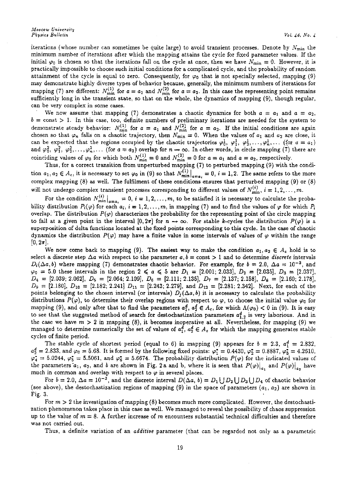iterations (whose number can sometimes be quite large) to avoid transient processes. Denote by  $N_{\rm min}$  the minimum number of iterations after which the mapping attains the cycle for fixed parameter values. If the initial  $\varphi_0$  is chosen so that the iterations fall on the cycle at once, then we have  $N_{\text{min}} = 0$ . However, it is practically impossible to choose such initial conditions for a complicated cycle, and the probability of random attainment of the cycle is equal to zero. Consequently, for  $\varphi_0$  that is not specially selected, mapping (9) may demonstrate highly diverse types of behavior because, generally, the minimum numbers of iterations for mapping (7) are different:  $N_{\text{min}}^{(1)}$  for  $a = a_1$  and  $N_{\text{min}}^{(2)}$  for  $a = a_2$ . In this case the representing point remains sufficiently long in the transient state, so that on the whole, the dynamics of mapping (9), though regular, can be very complex in some cases.

We now assume that mapping (7) demonstrates a chaotic dynamics for both  $a = a_1$  and  $a = a_2$ ,  $b=$  const  $> 1$ . In this case, too, definite numbers of preliminary iterations are needed for the system to demonstrate steady behavior:  $N_{\min}^{(1)}$  for  $a = a_1$  and  $N_{\min}^{(2)}$  for  $a = a_2$ . If the initial conditions are again chosen so that  $\varphi_n$  falls on a chaotic trajectory, then  $N_{\min} = 0$ . When the values of  $a_1$  and  $a_2$ can be expected that the regions occupied by the chaotic trajectories  $\varphi_0^1, \varphi_1^1, \varphi_2^1, \ldots, \varphi_n^1, \ldots$  (for  $a = a_1$ ) and  $\varphi_0^2$ ,  $\varphi_1^2$ ,  $\varphi_2^2$ ,...,  $\varphi_n^2$ ,... (for  $a=a_2$ ) overlap for  $n\to\infty$ . In other words, in circle mapping (7) there are coinciding values of  $\varphi_0$  for which both  $N_{\text{min}}^{(1)} = 0$  and  $N_{\text{min}}^{(2)} = 0$  for  $a = a_1$  and  $a = a_2$ , respectively.

Thus, for a correct transition from unperturbed mapping (7) to perturbed mapping (9) with the condition  $a_1, a_2 \in A_c$ , it is necessary to set  $\varphi_0$  in (9) so that  $N_{\min}^{(1)} \big|_{a=a_i} = 0$ ,  $i = 1, 2$ . The same refers to the more complex mapping (8) as well. The fulfilment of these conditions ensures that perturbed mapping (9) or (8) will not undergo complex transient processes corresponding to different values of  $N_{\min}^{(i)}$ ,  $i = 1, 2, ..., m$ .

For the condition  $N_{\min}^{(i)}\big|_{a=a_i} = 0, i = 1, 2, ..., m$ , to be satisfied it is necessary to calculate the probability distribution  $P_i(\varphi)$  for each  $a_i$ ,  $i = 1, 2, ..., m$ , in mapping (7) and to find the values of  $\varphi$  for which  $P_i$ overlap. The distribution  $P(\varphi)$  characterizes the probability for the representing point of the circle mapping to fall at a given point in the interval  $[0, 2\pi]$  for  $n \to \infty$ . For stable k-cycles the distribution  $P(\varphi)$  is a superposition of delta functions located at the fixed points corresponding to this cycle. In the case of chaotic dynamics the distribution  $P(\varphi)$  may have a finite value in some intervals of values of  $\varphi$  within the range  $[0, 2\pi]$ .

We now come back to mapping (9). The easiest way to make the condition  $a_1, a_2 \in A_c$  hold is to select a discrete step  $\Delta a$  with respect to the parameter  $a, b = \text{const} > 1$  and to determine *discrete* intervals  $D_i(\Delta a, b)$  where mapping (7) demonstrates chaotic behavior. For example, for  $b=2.0$ ,  $\Delta a = 10^{-3}$ , and  $\varphi_0 = 5.0$  these intervals in the region  $2 \le a \le 5$  are  $D_1 = [2.001; 2.033], D_2 = [2.035], D_3 = [2.037],$ *D4* = [2.039; 2.062], *Ds* = [2.064; 2.109], *D•* = [2.111; 2.135], *D1* = [2.137; 2.158], *D8* = [2.160; 2.178],  $D_9 = [2.180], D_{10} = [2.182, 2.241], D_{11} = [2.243, 2.279], \text{ and } D_{12} = [2.281, 2.342].$  Next, for each of the points belonging to the chosen interval (or intervals)  $D_i(\Delta a, b)$  it is necessary to calculate the probability distributions  $P(\varphi)$ , to determine their overlap regions with respect to  $\varphi$ , to choose the initial value  $\varphi_0$  for mapping (9), and only after that to find the parameters  $a_1^d$ ,  $a_2^d \in A_c$ , for which  $\Lambda(\varphi_0) < 0$  in (9). It is easy to see that the suggested method of search for destochastization parameters  $a_{1,2}^d$  is very laborious. And in the case we have  $m > 2$  in mapping (8), it becomes inoperative at all. Nevertheless, for mapping (9) we managed to determine numerically the set of values of  $a_1^d$ ,  $a_2^d \in A_c$  for which the mapping generates stable cycles of finite period.

The stable cycle of shortest period (equal to 6) in mapping (9) appears for  $b = 2.3$ ,  $a_1^d = 2.832$ ,  $a_2^d = 2.833$ , and  $\varphi_0 = 5.68$ . It is formed by the following fixed points:  $\varphi_1^* = 0.4430$ ,  $\varphi_2^* = 0.8887$ ,  $\varphi_3^* = 4.2610$ ,  $\varphi_4^* = 5.0244$ ,  $\varphi_5^* = 5.5061$ , and  $\varphi_6^* = 5.6674$ . The probability distribution  $P(\varphi)$  for the indicated values of the parameters  $a_1, a_2$ , and b are shown in Fig. 2a and b, where it is seen that  $P(\varphi)|_{a_1}$  and  $P(\varphi)|_{a_2}$  have much in common and overlap with respect to  $\varphi$  in several places.

For  $b = 2.0$ ,  $\Delta a = 10^{-3}$ , and the discrete interval  $D(\Delta a, b) = D_1 \cup D_2 \cup D_3 \cup D_4$  of chaotic behavior (see above), the destochastization regions of mapping (9) in the space of parameters  $(a_1, a_2)$  are shown in Fig. 3.

For  $m > 2$  the investigation of mapping (8) becomes much more complicated. However, the destochastization phenomenon takes place in this case as well. We managed to reveal the possibility of chaos suppression up to the value of  $m = 8$ . A further increase of  $m$  encounters substantial technical difficulties and therefore was not carried out.

Thus, a definite variation of an *additive* parameter (that can be regarded not only as a parametric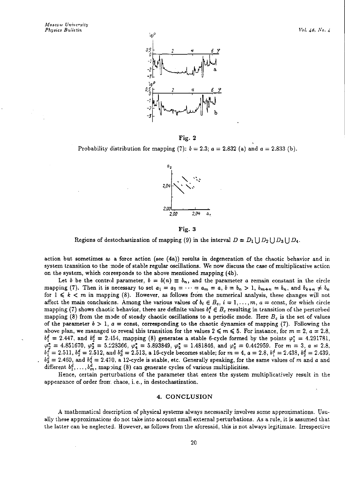

$$
Fig.~2
$$

Probability distribution for mapping (7):  $b = 2.3$ ;  $a = 2.832$  (a) and  $a = 2.833$  (b).



#### Fig. 3

Regions of destochastization of mapping (9) in the interval  $D = D_1 \bigcup D_2 \bigcup D_3 \bigcup D_4$ .

action but sometimes as a force action (see  $(4a)$ ) results in degeneration of the chaotic behavior and in system transition to the .node of stable regular oscillations. We now discuss the case of multiplicative action on the system, which corresponds to the above mentioned mapping (4b).

Let *b* be the control parameter,  $b = b(n) \equiv b_n$ , and the parameter *a* remain constant in the circle mapping (7). Then it is necessary to set  $a_1 = a_2 = \cdots = a_m = a$ ,  $b = b_n > 1$ ,  $b_{m+n} = b_n$ , and  $b_{k+n} \neq b_n$ for  $1 \leqslant k < m$  in mapping (8). However, as follows from the numerical analysis, these changes will not affect the main conclusions. Among the various values of  $b_i \in B_c$ ,  $i = 1, \ldots, m$ ,  $a = \text{const}$ , for which circle mapping (7) shows chaotic behavior, there are definite values  $b_i^d \in B_c$  resulting in transition of the perturbed mapping (8) from the mode of steady chaotic oscillations to a periodic mode. Here  $B_c$  is the set of values of the parameter  $b > 1$ ,  $a = \text{const}$ , corresponding to the chaotic dynamics of mapping (7). Following the above plan, we managed to reveal this transition for the values  $2 \leq m \leq 5$ . For instance, for  $m = 2$ ,  $a = 2.8$ ,  $b_1^d = 2.447$ , and  $b_2^d = 2.154$ , mapping (8) generates a stable 6-cycle formed by the points  $\varphi_1^* = 4.291781$ ,  $\varphi_2^* = 4.851670$ ,  $\varphi_3^* = 5.228366$ ,  $\varphi_4^* = 5.893849$ ,  $\varphi_5^* = 1.481846$ , and  $\varphi_6^* = 0.442959$ . For  $m = 3$ ,  $a = 2.8$ ,  $b_1^d = 2.511, b_2^d = 2.512$ , and  $b_3^d = 2.513$ , a 16-cycle becomes stable; for  $m = 4$ ,  $a = 2.8$ ,  $b_1^d = 2.438$ ,  $b_2^d = 2.439$ ,  $b_3^d = 2.460$ , and  $b_4^d = 2.470$ , a 12-cycle is stable, etc. Generally speaking, for the same values of m and *a* and different  $b_1^d, \ldots, b_m^d$ , mapping (8) can generate cycles of various multiplicities.

Hence, certain perturbations of the parameter that enters the system multiplicatively result *in* the appearance of order from. chaos, i.e., in destochastization.

#### 4. CONCLUSION

A mathematical description of physical systems always necessarily involves some approximations. Usually these approximation: do not take into account small external perturbations. As a rule, it is assumed that the latter can be neglected. However, as follows from the aforesaid, this is not always legitimate. Irrespective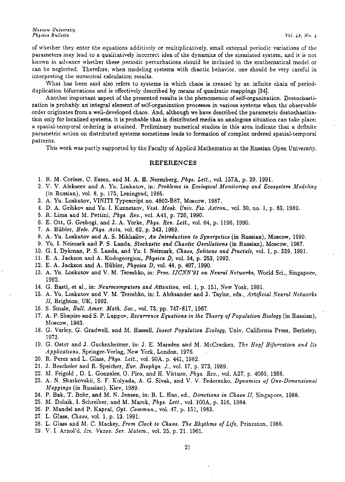of whether they enter the equations additively or multiplicatively, small external periodic variations of the **parameters may lead to a qualitatively incorrect idea of the dynamics of the simulated system, and it is not**  known in advance whether these periodic perturbations should be included in the mathematical model or **can be neglected. Therefore, when modeling systems with chaotic behavior, one should be very careful in interpreting the numerical calculation results.** 

What has been said also refers to systems in which chaos is created by an infinite chain of periodduplication bifurcations and is effectively described by means of quadratic mappings (34].

**Another important aspect of the presented results is the phenomenon of self-organization. Destochastization is probably ari integral element of self-organization processes in various systems when the observable**  order originates from a well-developed chaos. And, although we have described the parametric destochastiza**tion only for localized systems, it is probable that in distributed media an analogous situation can take** place~ **a spatial-temporal ordering is attained. Preliminary numerical studies in this area indicate that a definite parametric action on distributed systems sometimes leads to formation of complex ordered spatial-temporal patterns.** 

This work was partly supported by the Faculty of Applied Mathematics at the Russian Open University.

#### REFERENCES

- 1. R. M. Corless, C. Essex, and M. A. H. Nerenberg, *Phys. Lett.*, vol. 157A, p. 29, 1991.
- 2. V. V. Alekseev and A. Yu. Loskutov, in: *Problems in Ecological Monitoring and Ecosystem Modeling*  (in Russian), vol. 8, p. 175, Leningrad, 1985.
- 3. A. Yu. Loskutov, VINITI Typescript no. 4802-B87, Moscow, 1987.
- 4. D. A. Gribkov and Yu. I. Kuznetsov, *Vest. Mosk. Univ. Fiz. Astron.,* vol. 30, no. 1, p. 83, 1989.
- 5. R. Lima and M. Pettini, *Phys. Rev.,* vol. A41, p. 726, 1990.
- 6. E. Ott, G. Grebogi, and J. A. Yorke, *Phys. Rev. Lett.,* vol. 64, p. 1196, 1990.
- 7. A. Hubler, *Helv. Phys. Acta,* vol. 62, p. 343, 1989.
- 8. A. Yu. Loskutov and A. S. Mikhailov, *An Introduction to Synergetics* (in Russian), Moscow, 1990.
- 9. Yu. I. Neimark and P. S. Landa, *Stochastic and Chaotic Oscillations* (in Russian), Moscow, 1987.
- 10. G. I. Dykman, P. S. Landa, and Yu. I. Neimark, *Chaos, Solitons and Fractals,* vol. 1, p. 339, 1991.
- 11. E. A. Jackson and A. Kodogeorgiou, *Physica D,* vol. 54, p. 253, 1992.
- 12. E. A. Jackson and A. Hubler, *Physica D,* vol. 44, p. 407, 1990.
- 13. A. Yu. Loskutov and V. M. Tereshko, in: *Proc. IJCNN'91 on Neural Networks,* World Sci., Singapore, 1992.
- 14. G. Bast\, et al., in: *Neurocomputers and Attention,* vol. 1, p. 151, New York, 1991.
- 15. A. Yu. Loskutov and V. M. Tereshko, in: I. Aleksander and J. Taylor, eds., *Artificial Neural Networks II,* Brighton, UK, 1992.
- 16. S. Smale, *Bull. Amer. Math. Soc.,* vol. 73, pp. 747-817, 1967.
- 17. A. P. Shapiro and S. P. Luppov, *Recurrence Equations in the Theory of Population Biology* (in Russian), Moscow, 1983.
- 18. G. Varley, G. Gradwell, and M. Hassell, *Insect Population Ecology,* Univ. California Press, Berkeley, 1973.
- 19. G. Oster and J. Guckenheimer, in: J. E. Marsden and M. McCracken, *The Hopf Bifurcation and Its Applications,* Springer-Verlag, New York, London, 1976.
- 20. R. Perez and L. Glass, *Phys. Lett.,* vol. 90A, p. 441, 1982.
- 21. J. Hescheler and R. Speicher, *Eur. Biophys. J.,* vol. 17, p. 273, 1989.
- 22. M. Feigold , D. L. Gonzales, O. Piro, and H. Vitturo, *Phys. Rev.*, vol. A37, p. 4060, 1988.
- 23. A. N. Sharkovskii, S. F. Kolyada, A. G. Sivak, and V. V. Fedorenko, *Dynamics of One-Dimensional Mappings* (in Russian), Kiev, 1989.
- 24. P. Bak, T. Bohr, and M. N. Jensen, in: B. L. Hao, ed., *Directions in Chaos II,* Singapore, 1988.
- 25. M. Dolnik, I. Schreiber, and M. Marek, *Phys. Lett.,* vol. lOOA, p. 316, 1984.
- 26. P. Mandel and P. Kapral, *Opt. Commun.,* vol. 47, p. 151, 1983.
- 27. L. Glass, *Chaos,* vol. 1, p. 13, 1991.
- 28. L. Glass and M. C. Mackey, *From Clock to Chaos. The Rhythms of Life,* Princeton, 1988.
- 29. V. I. Arnol'd, *I=v. Vuzov. Ser. Matern.,* vol. 25, p. 21, 1961.